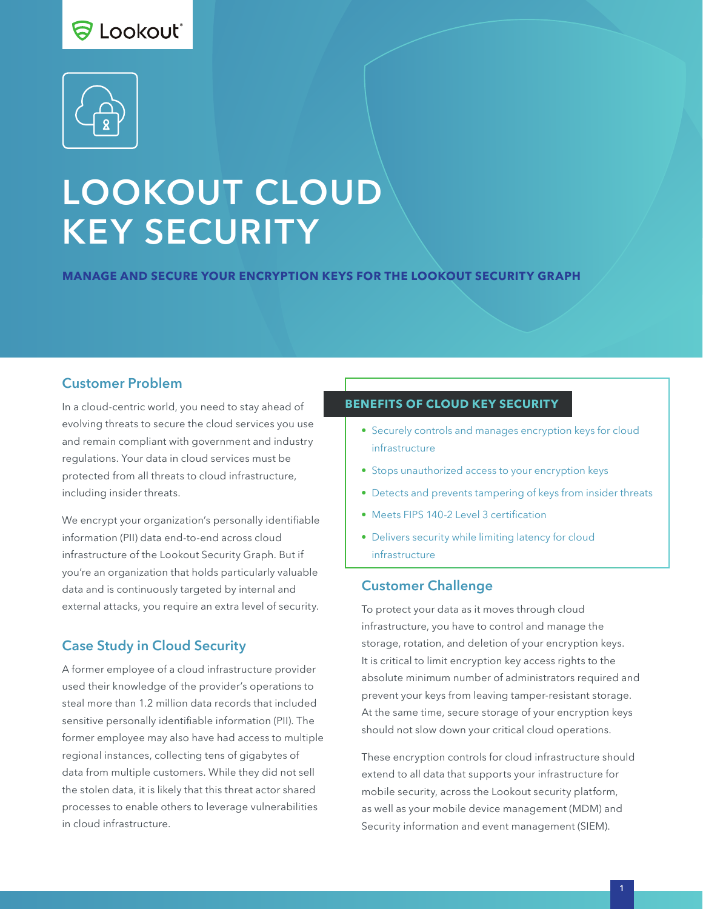# **ခြ Lookout**ံ



# LOOKOUT CLOUD KEY SECURITY

**MANAGE AND SECURE YOUR ENCRYPTION KEYS FOR THE LOOKOUT SECURITY GRAPH**

#### Customer Problem

In a cloud-centric world, you need to stay ahead of evolving threats to secure the cloud services you use and remain compliant with government and industry regulations. Your data in cloud services must be protected from all threats to cloud infrastructure, including insider threats.

We encrypt your organization's personally identifiable information (PII) data end-to-end across cloud infrastructure of the Lookout Security Graph. But if you're an organization that holds particularly valuable data and is continuously targeted by internal and external attacks, you require an extra level of security.

# Case Study in Cloud Security

A former employee of a cloud infrastructure provider used their knowledge of the provider's operations to steal more than 1.2 million data records that included sensitive personally identifiable information (PII). The former employee may also have had access to multiple regional instances, collecting tens of gigabytes of data from multiple customers. While they did not sell the stolen data, it is likely that this threat actor shared processes to enable others to leverage vulnerabilities in cloud infrastructure.

#### **BENEFITS OF CLOUD KEY SECURITY**

- Securely controls and manages encryption keys for cloud infrastructure
- Stops unauthorized access to your encryption keys
- Detects and prevents tampering of keys from insider threats
- Meets FIPS 140-2 Level 3 certification
- Delivers security while limiting latency for cloud infrastructure

#### Customer Challenge

To protect your data as it moves through cloud infrastructure, you have to control and manage the storage, rotation, and deletion of your encryption keys. It is critical to limit encryption key access rights to the absolute minimum number of administrators required and prevent your keys from leaving tamper-resistant storage. At the same time, secure storage of your encryption keys should not slow down your critical cloud operations.

These encryption controls for cloud infrastructure should extend to all data that supports your infrastructure for mobile security, across the Lookout security platform, as well as your mobile device management (MDM) and Security information and event management (SIEM).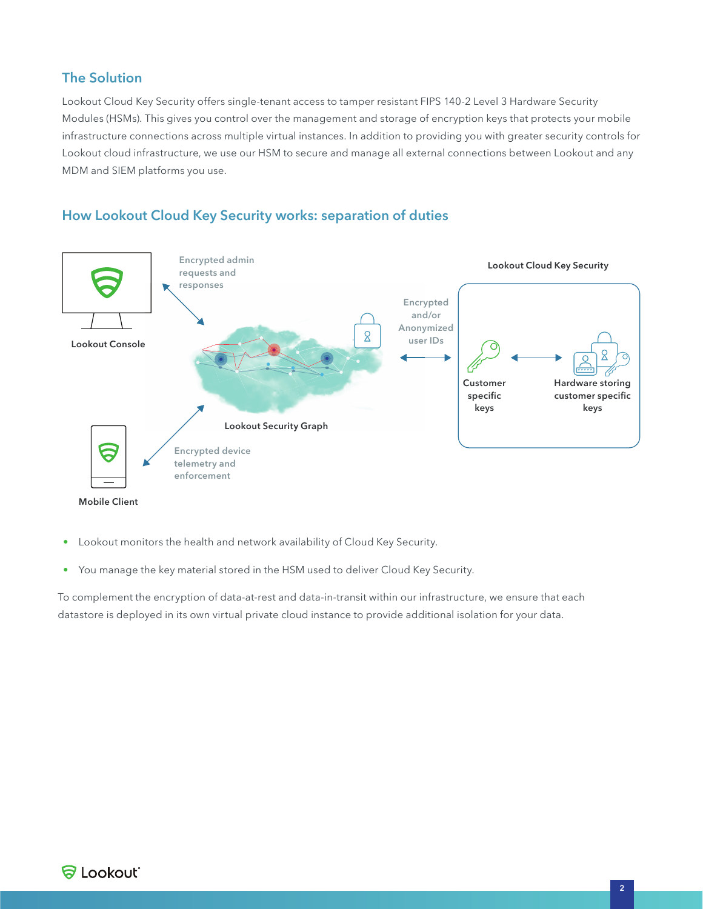## The Solution

Lookout Cloud Key Security offers single-tenant access to tamper resistant FIPS 140-2 Level 3 Hardware Security Modules (HSMs). This gives you control over the management and storage of encryption keys that protects your mobile infrastructure connections across multiple virtual instances. In addition to providing you with greater security controls for Lookout cloud infrastructure, we use our HSM to secure and manage all external connections between Lookout and any MDM and SIEM platforms you use.



## How Lookout Cloud Key Security works: separation of duties

- Lookout monitors the health and network availability of Cloud Key Security.
- You manage the key material stored in the HSM used to deliver Cloud Key Security.

To complement the encryption of data-at-rest and data-in-transit within our infrastructure, we ensure that each datastore is deployed in its own virtual private cloud instance to provide additional isolation for your data.